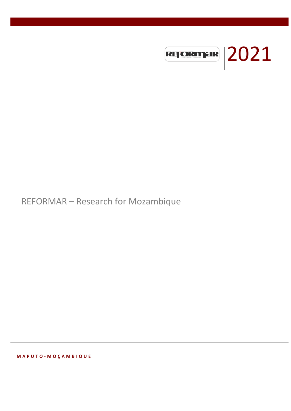

# REFORMAR – Research for Mozambique

**M A P U T O - M O Ç A M B I Q U E**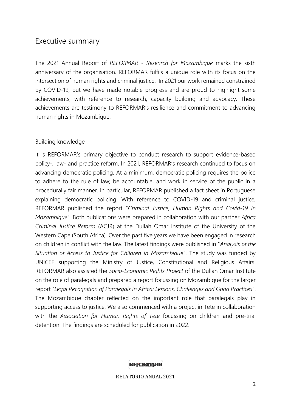# Executive summary

The 2021 Annual Report of *REFORMAR - Research for Mozambique* marks the sixth anniversary of the organisation. REFORMAR fulfils a unique role with its focus on the intersection of human rights and criminal justice. In 2021 our work remained constrained by COVID-19, but we have made notable progress and are proud to highlight some achievements, with reference to research, capacity building and advocacy. These achievements are testimony to REFORMAR's resilience and commitment to advancing human rights in Mozambique.

### Building knowledge

It is REFORMAR's primary objective to conduct research to support evidence-based policy-, law- and practice reform. In 2021, REFORMAR's research continued to focus on advancing democratic policing. At a minimum, democratic policing requires the police to adhere to the rule of law; be accountable, and work in service of the public in a procedurally fair manner. In particular, REFORMAR published a fact sheet in Portuguese explaining democratic policing. With reference to COVID-19 and criminal justice, REFORMAR published the report "*Criminal Justice, Human Rights and Covid-19 in Mozambique*". Both publications were prepared in collaboration with our partner *Africa Criminal Justice Reform* (ACJR) at the Dullah Omar Institute of the University of the Western Cape (South Africa). Over the past five years we have been engaged in research on children in conflict with the law. The latest findings were published in "*Analysis of the Situation of Access to Justice for Children in Mozambique*". The study was funded by UNICEF supporting the Ministry of Justice, Constitutional and Religious Affairs. REFORMAR also assisted the *Socio-Economic Rights Project* of the Dullah Omar Institute on the role of paralegals and prepared a report focussing on Mozambique for the larger report "*Legal Recognition of Paralegals in Africa: Lessons, Challenges and Good Practices*". The Mozambique chapter reflected on the important role that paralegals play in supporting access to justice. We also commenced with a project in Tete in collaboration with the *Association for Human Rights of Tete* focussing on children and pre-trial detention. The findings are scheduled for publication in 2022.

REFORMER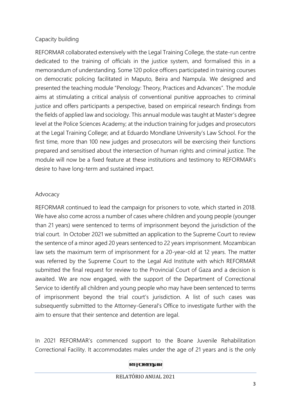## Capacity building

REFORMAR collaborated extensively with the Legal Training College, the state-run centre dedicated to the training of officials in the justice system, and formalised this in a memorandum of understanding. Some 120 police officers participated in training courses on democratic policing facilitated in Maputo, Beira and Nampula. We designed and presented the teaching module "Penology: Theory, Practices and Advances". The module aims at stimulating a critical analysis of conventional punitive approaches to criminal justice and offers participants a perspective, based on empirical research findings from the fields of applied law and sociology. This annual module was taught at Master's degree level at the Police Sciences Academy; at the induction training for judges and prosecutors at the Legal Training College; and at Eduardo Mondlane University's Law School. For the first time, more than 100 new judges and prosecutors will be exercising their functions prepared and sensitised about the intersection of human rights and criminal justice. The module will now be a fixed feature at these institutions and testimony to REFORMAR's desire to have long-term and sustained impact.

### Advocacy

REFORMAR continued to lead the campaign for prisoners to vote, which started in 2018. We have also come across a number of cases where children and young people (younger than 21 years) were sentenced to terms of imprisonment beyond the jurisdiction of the trial court. In October 2021 we submitted an application to the Supreme Court to review the sentence of a minor aged 20 years sentenced to 22 years imprisonment. Mozambican law sets the maximum term of imprisonment for a 20-year-old at 12 years. The matter was referred by the Supreme Court to the Legal Aid Institute with which REFORMAR submitted the final request for review to the Provincial Court of Gaza and a decision is awaited. We are now engaged, with the support of the Department of Correctional Service to identify all children and young people who may have been sentenced to terms of imprisonment beyond the trial court's jurisdiction. A list of such cases was subsequently submitted to the Attorney-General's Office to investigate further with the aim to ensure that their sentence and detention are legal.

In 2021 REFORMAR's commenced support to the Boane Juvenile Rehabilitation Correctional Facility. It accommodates males under the age of 21 years and is the only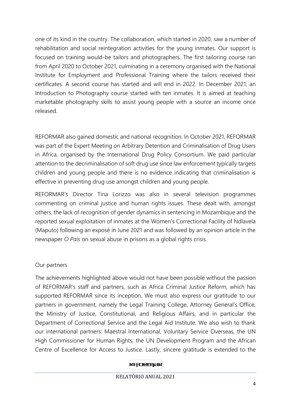one of its kind in the country. The collaboration, which started in 2020, saw a number of rehabilitation and social reintegration activities for the young inmates. Our support is focused on training would-be tailors and photographers. The first tailoring course ran from April 2020 to October 2021, culminating in a ceremony organised with the National Institute for Employment and Professional Training where the tailors received their certificates. A second course has started and will end in 2022. In December 2021, an Introduction to Photography course started with ten inmates. It is aimed at teaching marketable photography skills to assist young people with a source an income once released.

REFORMAR also gained domestic and national recognition. In October 2021, REFORMAR was part of the Expert Meeting on Arbitrary Detention and Criminalisation of Drug Users in Africa, organised by the International Drug Policy Consortium. We paid particular attention to the decriminalisation of soft drug use since law enforcement typically targets children and young people and there is no evidence indicating that criminalisation is effective in preventing drug use amongst children and young people.

REFORMAR's Director Tina Lorizzo was also in several television programmes commenting on criminal justice and human rights issues. These dealt with, amongst others, the lack of recognition of gender dynamics in sentencing in Mozambique and the reported sexual exploitation of inmates at the Women's Correctional Facility of Ndlavela (Maputo) following an exposé in June 2021 and was followed by an opinion article in the newspaper *O País* on sexual abuse in prisons as a global rights crisis.

### Our partners

The achievements highlighted above would not have been possible without the passion of REFORMAR's staff and partners, such as Africa Criminal Justice Reform, which has supported REFORMAR since its inception. We must also express our gratitude to our partners in government, namely the Legal Training College, Attorney General's Office, the Ministry of Justice, Constitutional, and Religious Affairs, and in particular the Department of Correctional Service and the Legal Aid Institute. We also wish to thank our international partners: Maestral International, Voluntary Service Overseas, the UN High Commissioner for Human Rights, the UN Development Program and the African Centre of Excellence for Access to Justice. Lastly, sincere gratitude is extended to the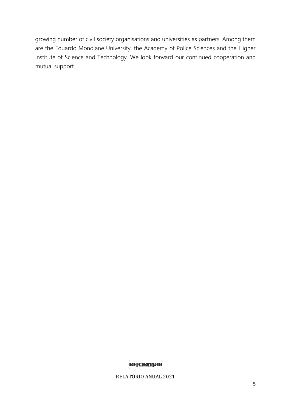growing number of civil society organisations and universities as partners. Among them are the Eduardo Mondlane University, the Academy of Police Sciences and the Higher Institute of Science and Technology. We look forward our continued cooperation and mutual support.

**REFORMER**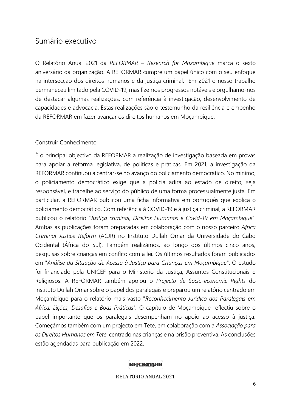# Sumário executivo

O Relatório Anual 2021 da *REFORMAR – Research for Mozambique* marca o sexto aniversário da organização. A REFORMAR cumpre um papel único com o seu enfoque na intersecção dos direitos humanos e da justiça criminal. Em 2021 o nosso trabalho permaneceu limitado pela COVID-19, mas fizemos progressos notáveis e orgulhamo-nos de destacar algumas realizações, com referência à investigação, desenvolvimento de capacidades e advocacia. Estas realizações são o testemunho da resiliência e empenho da REFORMAR em fazer avançar os direitos humanos em Moçambique.

### Construir Conhecimento

É o principal objectivo da REFORMAR a realização de investigação baseada em provas para apoiar a reforma legislativa, de politicas e práticas. Em 2021, a investigação da REFORMAR continuou a centrar-se no avanço do policiamento democrático. No mínimo, o policiamento democrático exige que a polícia adira ao estado de direito; seja responsável, e trabalhe ao serviço do público de uma forma processualmente justa. Em particular, a REFORMAR publicou uma ficha informativa em português que explica o policiamento democrático. Com referência à COVID-19 e à justiça criminal, a REFORMAR publicou o relatório "*Justiça criminal, Direitos Humanos e Covid-19 em Moçambique*". Ambas as publicações foram preparadas em colaboração com o nosso parceiro *Africa Criminal Justice Reform* (ACJR) no Instituto Dullah Omar da Universidade do Cabo Ocidental (África do Sul). Também realizámos, ao longo dos últimos cinco anos, pesquisas sobre crianças em conflito com a lei. Os últimos resultados foram publicados em "*Análise da Situação de Acesso à Justiça para Crianças em Moçambique*". O estudo foi financiado pela UNICEF para o Ministério da Justiça, Assuntos Constitucionais e Religiosos. A REFORMAR também apoiou o *Projecto de Socio-economic Rights* do Instituto Dullah Omar sobre o papel dos paralegais e preparou um relatório centrado em Moçambique para o relatório mais vasto "*Reconhecimento Jurídico dos Paralegais em África: Lições, Desafios e Boas Práticas".* O capítulo de Moçambique reflectiu sobre o papel importante que os paralegais desempenham no apoio ao acesso à justiça. Começámos também com um projecto em Tete, em colaboração com a *Associação para os Direitos Humanos em Tete*, centrado nas crianças e na prisão preventiva. As conclusões estão agendadas para publicação em 2022.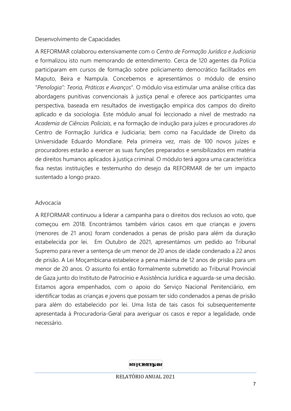### Desenvolvimento de Capacidades

A REFORMAR colaborou extensivamente com o *Centro de Formação Jurídica e Judiciaria* e formalizou isto num memorando de entendimento. Cerca de 120 agentes da Polícia participaram em cursos de formação sobre policiamento democrático facilitados em Maputo, Beira e Nampula. Concebemos e apresentámos o módulo de ensino "*Penologia": Teoria, Práticas e Avanços*". O módulo visa estimular uma análise crítica das abordagens punitivas convencionais à justiça penal e oferece aos participantes uma perspectiva, baseada em resultados de investigação empírica dos campos do direito aplicado e da sociologia. Este módulo anual foi leccionado a nível de mestrado na *Academia de Ciências Policiais*, e na formação de indução para juízes e procuradores *do*  Centro de Formação Jurídica e Judiciaria; bem como na Faculdade de Direito da Universidade Eduardo Mondlane. Pela primeira vez, mais de 100 novos juízes e procuradores estarão a exercer as suas funções preparados e sensibilizados em matéria de direitos humanos aplicados à justiça criminal. O módulo terá agora uma característica fixa nestas instituições e testemunho do desejo da REFORMAR de ter um impacto sustentado a longo prazo.

### Advocacia

A REFORMAR continuou a liderar a campanha para o direitos dos reclusos ao voto, que começou em 2018. Encontrámos também vários casos em que crianças e jovens (menores de 21 anos) foram condenados a penas de prisão para além da duração estabelecida por lei. Em Outubro de 2021, apresentámos um pedido ao Tribunal Supremo para rever a sentença de um menor de 20 anos de idade condenado a 22 anos de prisão. A Lei Moçambicana estabelece a pena máxima de 12 anos de prisão para um menor de 20 anos. O assunto foi então formalmente submetido ao Tribunal Provincial de Gaza junto do Instituto de Patrocínio e Assistência Jurídica e aguarda-se uma decisão. Estamos agora empenhados, com o apoio do Serviço Nacional Penitenciário, em identificar todas as crianças e jovens que possam ter sido condenados a penas de prisão para além do estabelecido por lei. Uma lista de tais casos foi subsequentemente apresentada à Procuradoria-Geral para averiguar os casos e repor a legalidade, onde necessário.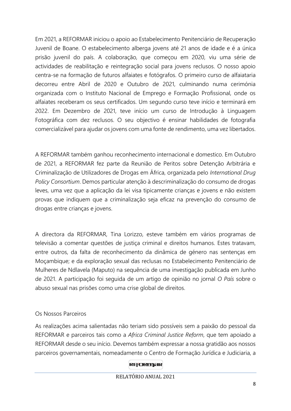Em 2021, a REFORMAR iniciou o apoio ao Estabelecimento Penitenciário de Recuperação Juvenil de Boane. O estabelecimento alberga jovens até 21 anos de idade e é a única prisão juvenil do país. A colaboração, que começou em 2020, viu uma série de actividades de reabilitação e reintegração social para jovens reclusos. O nosso apoio centra-se na formação de futuros alfaiates e fotógrafos. O primeiro curso de alfaiataria decorreu entre Abril de 2020 e Outubro de 2021, culminando numa cerimónia organizada com o Instituto Nacional de Emprego e Formação Profissional, onde os alfaiates receberam os seus certificados. Um segundo curso teve início e terminará em 2022. Em Dezembro de 2021, teve início um curso de Introdução à Linguagem Fotográfica com dez reclusos. O seu objectivo é ensinar habilidades de fotografia comercializável para ajudar os jovens com uma fonte de rendimento, uma vez libertados.

A REFORMAR também ganhou reconhecimento internacional e domestico. Em Outubro de 2021, a REFORMAR fez parte da Reunião de Peritos sobre Detenção Arbitrária e Criminalização de Utilizadores de Drogas em África, organizada pelo *International Drug Policy Consortium*. Demos particular atenção à descriminalização do consumo de drogas leves, uma vez que a aplicação da lei visa tipicamente crianças e jovens e não existem provas que indiquem que a criminalização seja eficaz na prevenção do consumo de drogas entre crianças e jovens.

A directora da REFORMAR, Tina Lorizzo, esteve também em vários programas de televisão a comentar questões de justiça criminal e direitos humanos. Estes tratavam, entre outros, da falta de reconhecimento da dinâmica de género nas sentenças em Moçambique; e da exploração sexual das reclusas no Estabelecimento Penitenciário de Mulheres de Ndlavela (Maputo) na sequência de uma investigação publicada em Junho de 2021. A participação foi seguida de um artigo de opinião no jornal *O País* sobre o abuso sexual nas prisões como uma crise global de direitos.

### Os Nossos Parceiros

As realizações acima salientadas não teriam sido possíveis sem a paixão do pessoal da REFORMAR e parceiros tais como a *Africa Criminal Justice Reform*, que tem apoiado a REFORMAR desde o seu início. Devemos também expressar a nossa gratidão aos nossos parceiros governamentais, nomeadamente o Centro de Formação Jurídica e Judiciaria, a